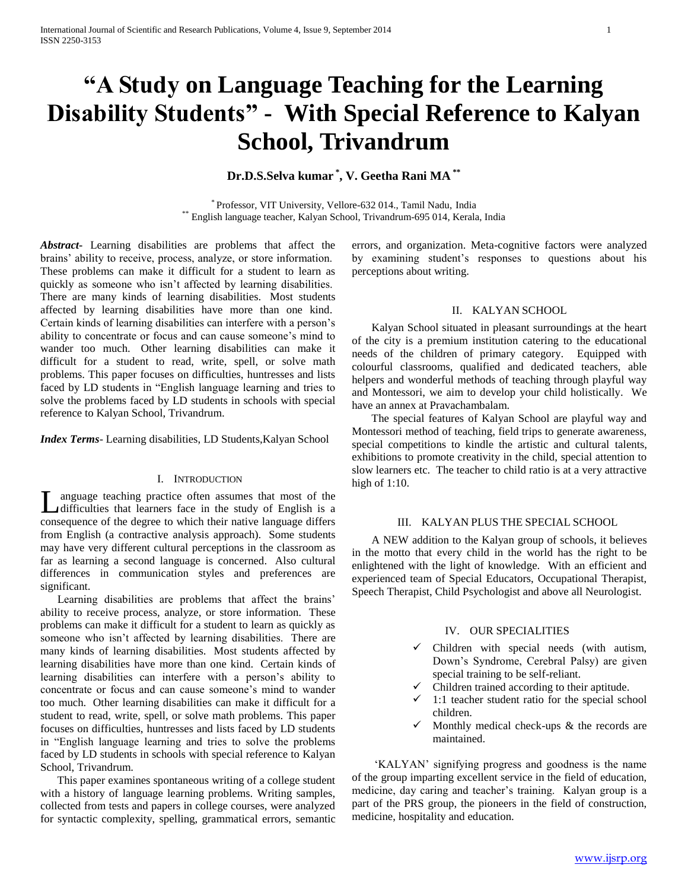# **"A Study on Language Teaching for the Learning Disability Students" - With Special Reference to Kalyan School, Trivandrum**

# **Dr.D.S.Selva kumar \* , V. Geetha Rani MA \*\***

\* Professor, VIT University, Vellore-632 014., Tamil Nadu, India \*\* English language teacher, Kalyan School, Trivandrum-695 014, Kerala, India

*Abstract***-** Learning disabilities are problems that affect the brains" ability to receive, process, analyze, or store information. These problems can make it difficult for a student to learn as quickly as someone who isn"t affected by learning disabilities. There are many kinds of learning disabilities. Most students affected by learning disabilities have more than one kind. Certain kinds of learning disabilities can interfere with a person"s ability to concentrate or focus and can cause someone"s mind to wander too much. Other learning disabilities can make it difficult for a student to read, write, spell, or solve math problems. This paper focuses on difficulties, huntresses and lists faced by LD students in "English language learning and tries to solve the problems faced by LD students in schools with special reference to Kalyan School, Trivandrum.

*Index Terms*- Learning disabilities, LD Students,Kalyan School

#### I. INTRODUCTION

anguage teaching practice often assumes that most of the difficulties that learners face in the study of English is a consequence of the degree to which their native language differs from English (a contractive analysis approach). Some students may have very different cultural perceptions in the classroom as far as learning a second language is concerned. Also cultural differences in communication styles and preferences are significant. L

Learning disabilities are problems that affect the brains' ability to receive process, analyze, or store information. These problems can make it difficult for a student to learn as quickly as someone who isn't affected by learning disabilities. There are many kinds of learning disabilities. Most students affected by learning disabilities have more than one kind. Certain kinds of learning disabilities can interfere with a person's ability to concentrate or focus and can cause someone"s mind to wander too much. Other learning disabilities can make it difficult for a student to read, write, spell, or solve math problems. This paper focuses on difficulties, huntresses and lists faced by LD students in "English language learning and tries to solve the problems faced by LD students in schools with special reference to Kalyan School, Trivandrum.

 This paper examines spontaneous writing of a college student with a history of language learning problems. Writing samples, collected from tests and papers in college courses, were analyzed for syntactic complexity, spelling, grammatical errors, semantic errors, and organization. Meta-cognitive factors were analyzed by examining student"s responses to questions about his perceptions about writing.

#### II. KALYAN SCHOOL

 Kalyan School situated in pleasant surroundings at the heart of the city is a premium institution catering to the educational needs of the children of primary category. Equipped with colourful classrooms, qualified and dedicated teachers, able helpers and wonderful methods of teaching through playful way and Montessori, we aim to develop your child holistically. We have an annex at Pravachambalam.

 The special features of Kalyan School are playful way and Montessori method of teaching, field trips to generate awareness, special competitions to kindle the artistic and cultural talents, exhibitions to promote creativity in the child, special attention to slow learners etc. The teacher to child ratio is at a very attractive high of 1:10.

#### III. KALYAN PLUS THE SPECIAL SCHOOL

 A NEW addition to the Kalyan group of schools, it believes in the motto that every child in the world has the right to be enlightened with the light of knowledge. With an efficient and experienced team of Special Educators, Occupational Therapist, Speech Therapist, Child Psychologist and above all Neurologist.

# IV. OUR SPECIALITIES

- $\checkmark$  Children with special needs (with autism, Down"s Syndrome, Cerebral Palsy) are given special training to be self-reliant.
- $\checkmark$  Children trained according to their aptitude.
- $\checkmark$  1:1 teacher student ratio for the special school children.
- $\checkmark$  Monthly medical check-ups & the records are maintained.

 "KALYAN" signifying progress and goodness is the name of the group imparting excellent service in the field of education, medicine, day caring and teacher"s training. Kalyan group is a part of the PRS group, the pioneers in the field of construction, medicine, hospitality and education.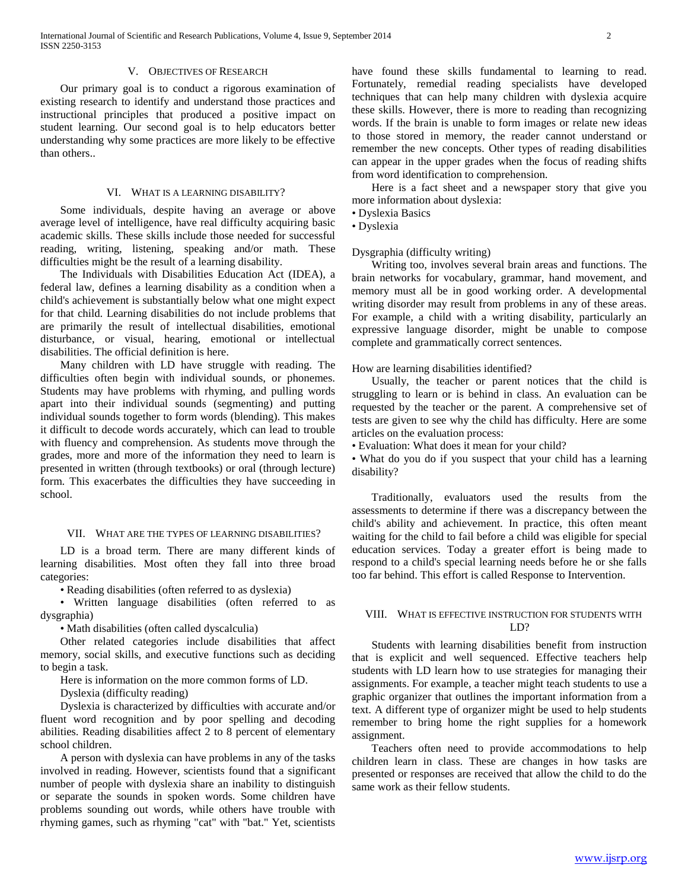#### V. OBJECTIVES OF RESEARCH

 Our primary goal is to conduct a rigorous examination of existing research to identify and understand those practices and instructional principles that produced a positive impact on student learning. Our second goal is to help educators better understanding why some practices are more likely to be effective than others..

#### VI. WHAT IS A LEARNING DISABILITY?

 Some individuals, despite having an average or above average level of intelligence, have real difficulty acquiring basic academic skills. These skills include those needed for successful reading, writing, listening, speaking and/or math. These difficulties might be the result of a learning disability.

 The Individuals with Disabilities Education Act (IDEA), a federal law, defines a learning disability as a condition when a child's achievement is substantially below what one might expect for that child. Learning disabilities do not include problems that are primarily the result of intellectual disabilities, emotional disturbance, or visual, hearing, emotional or intellectual disabilities. The official definition is here.

 Many children with LD have struggle with reading. The difficulties often begin with individual sounds, or phonemes. Students may have problems with rhyming, and pulling words apart into their individual sounds (segmenting) and putting individual sounds together to form words (blending). This makes it difficult to decode words accurately, which can lead to trouble with fluency and comprehension. As students move through the grades, more and more of the information they need to learn is presented in written (through textbooks) or oral (through lecture) form. This exacerbates the difficulties they have succeeding in school.

#### VII. WHAT ARE THE TYPES OF LEARNING DISABILITIES?

 LD is a broad term. There are many different kinds of learning disabilities. Most often they fall into three broad categories:

• Reading disabilities (often referred to as dyslexia)

 • Written language disabilities (often referred to as dysgraphia)

• Math disabilities (often called dyscalculia)

 Other related categories include disabilities that affect memory, social skills, and executive functions such as deciding to begin a task.

Here is information on the more common forms of LD.

Dyslexia (difficulty reading)

 Dyslexia is characterized by difficulties with accurate and/or fluent word recognition and by poor spelling and decoding abilities. Reading disabilities affect 2 to 8 percent of elementary school children.

 A person with dyslexia can have problems in any of the tasks involved in reading. However, scientists found that a significant number of people with dyslexia share an inability to distinguish or separate the sounds in spoken words. Some children have problems sounding out words, while others have trouble with rhyming games, such as rhyming "cat" with "bat." Yet, scientists have found these skills fundamental to learning to read. Fortunately, remedial reading specialists have developed techniques that can help many children with dyslexia acquire these skills. However, there is more to reading than recognizing words. If the brain is unable to form images or relate new ideas to those stored in memory, the reader cannot understand or remember the new concepts. Other types of reading disabilities can appear in the upper grades when the focus of reading shifts from word identification to comprehension.

 Here is a fact sheet and a newspaper story that give you more information about dyslexia:

• Dyslexia Basics

• Dyslexia

## Dysgraphia (difficulty writing)

 Writing too, involves several brain areas and functions. The brain networks for vocabulary, grammar, hand movement, and memory must all be in good working order. A developmental writing disorder may result from problems in any of these areas. For example, a child with a writing disability, particularly an expressive language disorder, might be unable to compose complete and grammatically correct sentences.

How are learning disabilities identified?

 Usually, the teacher or parent notices that the child is struggling to learn or is behind in class. An evaluation can be requested by the teacher or the parent. A comprehensive set of tests are given to see why the child has difficulty. Here are some articles on the evaluation process:

• Evaluation: What does it mean for your child?

• What do you do if you suspect that your child has a learning disability?

 Traditionally, evaluators used the results from the assessments to determine if there was a discrepancy between the child's ability and achievement. In practice, this often meant waiting for the child to fail before a child was eligible for special education services. Today a greater effort is being made to respond to a child's special learning needs before he or she falls too far behind. This effort is called Response to Intervention.

# VIII. WHAT IS EFFECTIVE INSTRUCTION FOR STUDENTS WITH  $LD<sup>2</sup>$

 Students with learning disabilities benefit from instruction that is explicit and well sequenced. Effective teachers help students with LD learn how to use strategies for managing their assignments. For example, a teacher might teach students to use a graphic organizer that outlines the important information from a text. A different type of organizer might be used to help students remember to bring home the right supplies for a homework assignment.

 Teachers often need to provide accommodations to help children learn in class. These are changes in how tasks are presented or responses are received that allow the child to do the same work as their fellow students.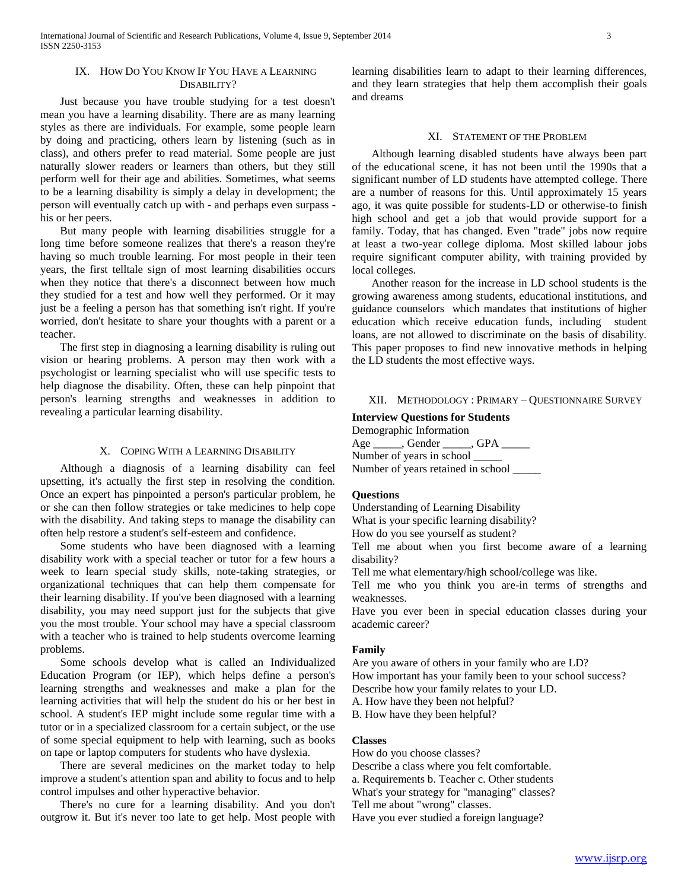# IX. HOW DO YOU KNOW IF YOU HAVE A LEARNING DISABILITY?

 Just because you have trouble studying for a test doesn't mean you have a learning disability. There are as many learning styles as there are individuals. For example, some people learn by doing and practicing, others learn by listening (such as in class), and others prefer to read material. Some people are just naturally slower readers or learners than others, but they still perform well for their age and abilities. Sometimes, what seems to be a learning disability is simply a delay in development; the person will eventually catch up with - and perhaps even surpass his or her peers.

 But many people with learning disabilities struggle for a long time before someone realizes that there's a reason they're having so much trouble learning. For most people in their teen years, the first telltale sign of most learning disabilities occurs when they notice that there's a disconnect between how much they studied for a test and how well they performed. Or it may just be a feeling a person has that something isn't right. If you're worried, don't hesitate to share your thoughts with a parent or a teacher.

 The first step in diagnosing a learning disability is ruling out vision or hearing problems. A person may then work with a psychologist or learning specialist who will use specific tests to help diagnose the disability. Often, these can help pinpoint that person's learning strengths and weaknesses in addition to revealing a particular learning disability.

# X. COPING WITH A LEARNING DISABILITY

 Although a diagnosis of a learning disability can feel upsetting, it's actually the first step in resolving the condition. Once an expert has pinpointed a person's particular problem, he or she can then follow strategies or take medicines to help cope with the disability. And taking steps to manage the disability can often help restore a student's self-esteem and confidence.

 Some students who have been diagnosed with a learning disability work with a special teacher or tutor for a few hours a week to learn special study skills, note-taking strategies, or organizational techniques that can help them compensate for their learning disability. If you've been diagnosed with a learning disability, you may need support just for the subjects that give you the most trouble. Your school may have a special classroom with a teacher who is trained to help students overcome learning problems.

 Some schools develop what is called an Individualized Education Program (or IEP), which helps define a person's learning strengths and weaknesses and make a plan for the learning activities that will help the student do his or her best in school. A student's IEP might include some regular time with a tutor or in a specialized classroom for a certain subject, or the use of some special equipment to help with learning, such as books on tape or laptop computers for students who have dyslexia.

 There are several medicines on the market today to help improve a student's attention span and ability to focus and to help control impulses and other hyperactive behavior.

 There's no cure for a learning disability. And you don't outgrow it. But it's never too late to get help. Most people with

learning disabilities learn to adapt to their learning differences, and they learn strategies that help them accomplish their goals and dreams

#### XI. STATEMENT OF THE PROBLEM

 Although learning disabled students have always been part of the educational scene, it has not been until the 1990s that a significant number of LD students have attempted college. There are a number of reasons for this. Until approximately 15 years ago, it was quite possible for students-LD or otherwise-to finish high school and get a job that would provide support for a family. Today, that has changed. Even "trade" jobs now require at least a two-year college diploma. Most skilled labour jobs require significant computer ability, with training provided by local colleges.

 Another reason for the increase in LD school students is the growing awareness among students, educational institutions, and guidance counselors which mandates that institutions of higher education which receive education funds, including student loans, are not allowed to discriminate on the basis of disability. This paper proposes to find new innovative methods in helping the LD students the most effective ways.

XII. METHODOLOGY : PRIMARY – QUESTIONNAIRE SURVEY

#### **Interview Questions for Students**

| Demographic Information            |
|------------------------------------|
| Age , Gender , GPA                 |
| Number of years in school          |
| Number of years retained in school |

#### **Questions**

Understanding of Learning Disability

What is your specific learning disability?

How do you see yourself as student?

Tell me about when you first become aware of a learning disability?

Tell me what elementary/high school/college was like.

Tell me who you think you are-in terms of strengths and weaknesses.

Have you ever been in special education classes during your academic career?

#### **Family**

Are you aware of others in your family who are LD? How important has your family been to your school success? Describe how your family relates to your LD. A. How have they been not helpful? B. How have they been helpful?

# **Classes**

How do you choose classes?

Describe a class where you felt comfortable.

a. Requirements b. Teacher c. Other students

What's your strategy for "managing" classes?

Tell me about "wrong" classes.

Have you ever studied a foreign language?